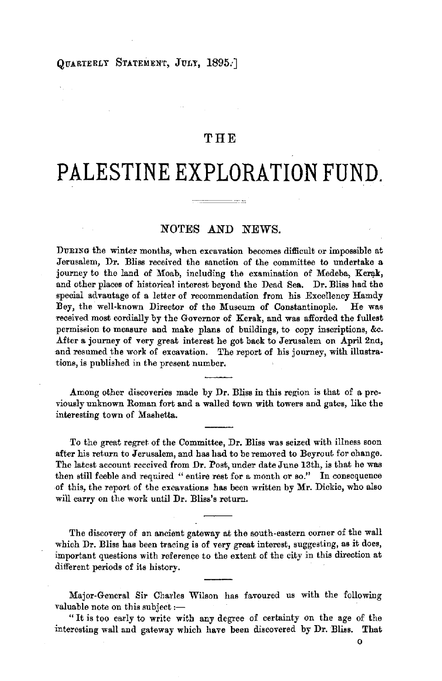#### OTARTERLY STATEMENT, JULY, 1895.

## THE

# **PALESTINE EXPLORATION FUND.**

## NOTES AND NEWS.

DURING the winter months, when excavation becomes difficult or impossible at Jerusalem, Dr. Bliss received the sanction of the committee to undertake a journey to the land of Moab, including the examination of Medeba, Kerak, and other places of historical interest beyond the Dead Sea. Dr. Bliss had the .special advantage of a letter of recommendation from his Excellency Hamdy Bey, the well-known Director of the Museum of Constantinople. He was received most cordially by the Governor of Kerak, and was afforded the fullest permission to measure and make plans of buildings, to copy inscriptions, &c. After a journey of very great interest he got back to Jerusalem on April 2nd, and resumed the work of excavation. The report of his journey, with illustrations, is published in the present number.

Among other discoveries made by Dr. Bliss in this region is that of a previously unknown Roman fort and a walled town with towers and gates, like the interesting town of Mashetta.

To the great regret of the Committee, Dr. Bliss was seized with illness soon after his return to Jerusalem, and has had to be removed to Beyrout for change. The latest account received from **Dr.** Post, under date June 13th, is that he was then still feeble and required " entire rest for a month or so." In consequence of this, the report of the exoavations has been written by **Mr.** Dickie, who also will carry on the work until Dr. Bliss's return.

The discovery of an ancient gateway at the south-eastern corner of the wall which Dr. Bliss has been tracing is of very great interest, suggesting, as it does, important questions with reference to the extent of the city in this direction at different periods of its history.

Major-General Sir Charles Wilson has favoured us with the following valuable note on this subject  $:$   $-$ 

" It is too early to write with any degree of certainty on the age of the interesting wall and gateway which have been discovered by Dr. Bliss. That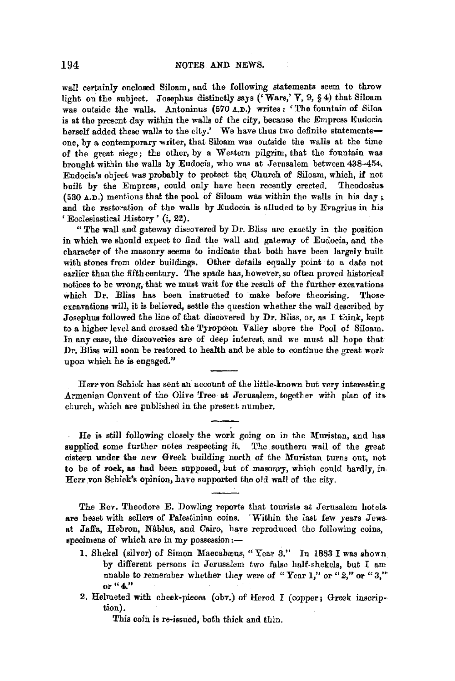wall certainly enclosed Siloam, and the following statements seem to throw light on the subject. Josephus distinctly says ('Wars,' **V,** 9, §4) that Siloam was outside the walls. Antoninus (570 **A.D.}** writes : 'The fountain of Siloa is at the present day within the walls of the city, because the Empress Eudocia herself added these walls to the city.' We have thus two definite statementsone, by a contemporary writer, that Siloam was outside the walls at the time of the great siege; the other, by a Western pilgrim, that the fountain was brought within the walls by Eudocia, who was at Jerusalem between 438-454. Eudocia's object was probably to protect the Church of Siloam, which, if not built by the Empress, could only have been recently erected. Theodosius (530  $A.D.$ ) mentions that the pool of Siloam was within the walls in his day; and the restoration of the walls by Eudocia is alluded to by Evagrius in his ' Ecclesiastical History ' (i, 22).

"The wall and gateway discovered by Dr. Bliss are exactly in the position in which we should expect to find the wall and gateway of Eudocia, and the character of the masonry seems to indicate that both have been largely built with stones from older buildings. Other details equally point to a date not earlier than the fifth century. The spade has, however, so often proved historical notices to be wrong, that we must wait for the result of the further excavations which Dr. Bliss has been instructed to make before theorising. Thoseexcavations will, it is believed, settle the question whether the wall described by Josephus followed the line of that discovered by Dr. Bliss, or, as I think, kept to a higher level and crossed the Tyropooon Valley above the Pool of Siloam. In any case, the discoveries are of deep interest, and we must all hope that Dr. Bliss will soon be restored to health and be able to continue the great work upon which he is engaged.''

Herr von Schick has sent an account of the little-known but very interesting Armenian Convent of the Olive 'free at Jerusalem, together with plan of its. church, which are published in the present number,

He is still following closely the work going on in the Muristan, and has aupplied some further notes respecting it. The southern wall of the great cistern under the new Greek building north of the Muristan turns out, not to be of rock, as had been supposed, but of masonry, which could hardly, in, Herr von Schick's opinion, have supported the old wall of the city.

The Rev. Theodore E. Dowling reports that tourists at Jerusalem hotelsare beset with sellers of Palestinian coins. 'Within the last few years Jews. at Jaffa, Hebron, Nåblus, and Cairo, have reproduced the following coins, specimens of which are in my possession:-

- 1. Shekel (silver) of Simon Maccabæus, "Year 3." In 1883 I was shown by different persons in Jerusalem two false half-shekels, but I am unable to remember whether they were of "Year 1," or "2," or "3," or "4."
- 2. Helmeted with cheek-pieces (obv.) of Herod I (copper; Greek inscrip• tion).

This coin is re-issued, both thick and thin.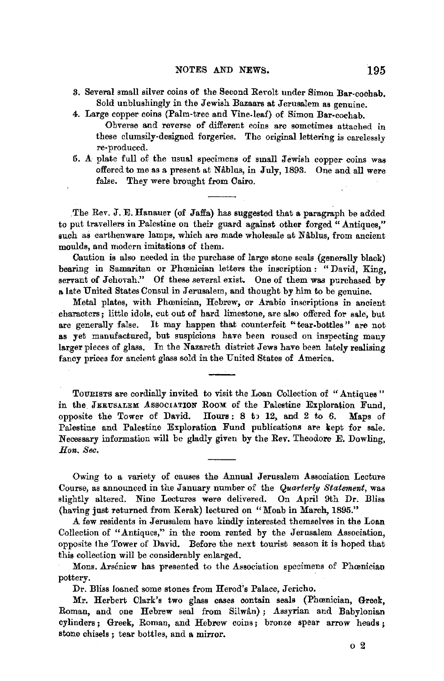- 3. Several small silver coins of the Second Rerolt under Simon Bar-cochab. Sold unblushingly in the Jewish Bazaars at Jerusalem as genuine.
- 4. Large copper coins (Palm-tree and Vine.leaf) of Simon Bar-cochab. Obverse and reverse of different coins are sometimes attached in these clumsily-designed forgeries. The original lettering is carelessly re-produced.
- 5. A· plate full of the usual specimens of small Jewish copper coins was offered to me as a present at Nablus, in July, 1893. One and all were false. They were brought from Cairo.

. The Rev. J.E. Hanauer (of Jaffa) has suggested that a paragraph be added to put travellers in Palestine on their guard against other forged "Antiques," such as earthenware lamps, which are made wholesale at Nablus, from ancient moulds, and modern imitations of them.

Caution is also needed in the purchase of large stone seals (generally black) bearing in Samaritan or Phœnician letters the inscription : "David, King, servant of Jehovah." Of these several exist. One of them **was** purchased by **a** late United States Consul in Jerusalem, and thought by him to be genuine.

Metal plates, with Phœnician, Hebrew, or Arabic inscriptions in ancient characters; little idols, cut out of hard limestone, are also offered for sale, but are generally false. It may happen that counterfeit "tear-bottles" are not **as** yet manufactured, but suspicions have been roused on inspecting many larger pieces of glass. In the Nazareth district Jews have been lately realising fancy prices for ancient glass sold in the United States of America.

TOURISTS are cordially invited to visit the Loan Collection of "Antiques " in the JERUSALEM ASSOCIATION ROOM of the Palestine Exploration Fund, opposite the Tower of David. Hours: 8 to 12, and 2 to 6. Maps of Palestine and Palestine Exploration Fund publications are kept for sale. Necessary information will be gladly given by the Rev. Theodore E. Dowling, *Hon. Sec.* 

Owing to a variety of causes the Annual Jerusalem Association Lecture Course, as announced in the January number of the *Quarterly Statement,* was slightly altered. Nine Lectures were delivered. On April 9th Dr. Bliss (having just returned from Kerak) lectured on "Moab in March, 1895."

A few residents in Jerusalem have kindly interested themselves in the Loan Collection of "Antiques," in the room rented by the Jerusalem Association, opposite the Tower of David. Before the next tourist season it is hoped that this collection will be considerably enlarged.

Mons. Arseniew has presented to the Association specimens of Phoenician pottery.

Dr. Bliss loaned some stones from Herod's Palace, Jericho.

Mr. Herbert Clark's two glass cases contain seals {Phcenician, Greek, Roman, and one Hebrew seal from Silwan); Assyrian and Babylonian cylinders ; Greek, Roman, and Hebrew coins; bronze spear arrow heads ; stone chisels ; tear bottles, and **a** mirror.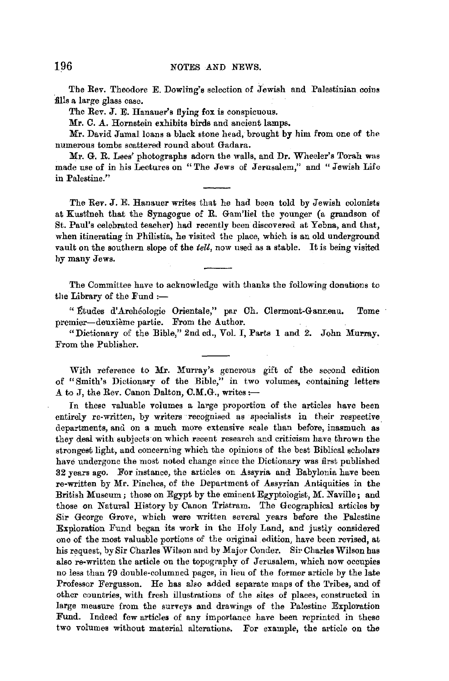The Rev. Theodore E. Dowling's selection of Jewish and Palestinian coins fills a large glass case.

The Rev. J. E. Hanauer's flying fox is conspicuous.

Mr. C. A. Hornstein exhibits birds and ancient lamps.

Mr. David Jamal loans a black stone head, brought by him from one of the numerous tombs scattered round about Gadara.

Mr. G. R. Lees' photographs adorn the walls, and Dr. Wheeler's Torah was made use of in his Lectures on "The Jews of Jerusalem," and "Jewish Life in Palestine."

The Rev. J.E. Hanauer writes that he had been told by Jewish colonists at Kustineh that the Synagogue of R. Gam'liel the younger (a grandson of St. Paul's celebrated teacher) had recently been discovered at Yebna, and that, when itinerating in Philistia, he visited the place, which is an old underground vault on the southern slope of the *teU,* now used as a stable. It is being visited hy many Jews.

The Committee have to acknowledge with thanks the following donations to the Library of the Fund :-

" Études d'Archéologie Orientale," par Ch. Clermont-Ganneau, Tome premier-deuxième partie. From the Author.

"Dictionary of the Bible," 2nd ed., Vol. I, Parts 1 and *2.* John Murray. From the Publisher.

With reference to Mr. Murray's generous gift of the second edition of "Smith's Dictionary of the Bible," in two volumes, containing letters A to J, the Rev. Canon Dalton, C.M.G., writes:-

In these valuable volumes a large proportion of the articles have been entirely re-written, by writers recognised as specialists in their respective departments, and on a much more extensive scale than before, inasmuch as they deal with subjects on which recent research and criticism have thrown the strongest light, and concerning which the opinions of the best Biblical scholars have undergone the most noted change since the Dictionary was first published 32 years ago. For instance, the articles on Assyria and Babylonia have been re-written by Mr. Pinches, of the Department of Assyrian Antiquities in the British Museum; those on Egypt by the eminent Egyptologist, M. Naville; and those on Natural History by Canon Tristram. 'The Geographical articles by Sir George Grove, which were written several years before the Palestine Exploration Fund began its work in the Holy Land, and justly considered one of the most valuable portions of the original edition, have been revised, at his request, by Sir Charles Wilson and by Major Conder. Sir Charles Wilson has also re-written the article on the topography of Jerusalem, which now occupies no less than 79 double-columned pages, in lieu of the former article by the late Professor Fergusson. He has also added separate maps of the Tribes, and of other countries, with fresh illustrations of the sites of places, constructed in large measure from the surveys and drawings of the Palestine Exploration Fund. Indeed few articles of any importance have been reprinted in these two volumes without material alterations. For example, the article on the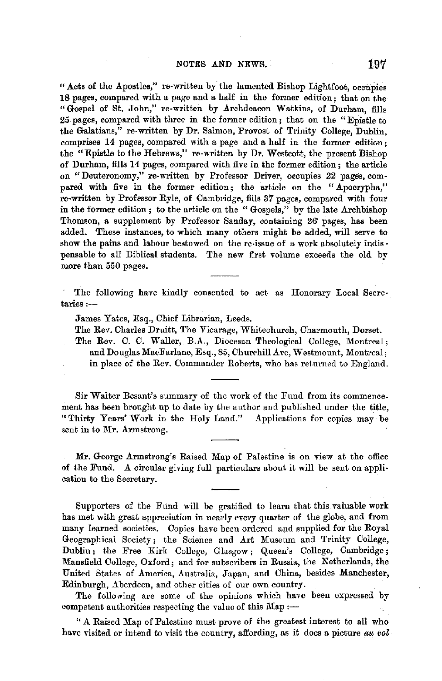"Acts of the Apostles," re-written by the lamented Bishop Lightfoot, occupies 18 pages, compared with a page and a half in the former edition; that on the "Gospel of St. John," re-written by Archdeacon Watkins, of Durham, fills 25 pages, compared with three in the former edition; that on the "Epistle to" the Galatians," re-written by Dr. Salmon, Provost of Trinity College, Dublin, comprises 14 pages, compared with a page and a half in the former edition; the "Epistle to the Hebrews," re-written by Dr. Westcott, the present Bishop of Durham, fills 14 pages, compared with five in the former edition; the article on "Deuteronomy," re-written by Professor Driver, occupies 22 pages, compared with five in the former edition; the article on the "Apocrypha," re-written by Professor Ryle, of Cambridge, fills 37 pages, compared with four in the former edition ; to the article on the " Gospels," by the late Archbishop Thomson, a supplement by Professor Sanday, containing 26' pages, has been added, These instances, to which many others might be added, will serve to show the pains and labour bestowed on the re-issue of a work absolutely indispensable to all Biblical students. The new first volume exceeds the old by more than 550 pages.

The following have kindly consented to act as Honorary Local Secre• taries :-

James Yates, Esq., Chief Librarian, Leeds.

The Rev. Charles Druitt, The Vicarage, Whitechurch, Charmouth, Dorset.

The Rev. C. C. Waller, B.A., Diocesan Theological College, Montreal; and Douglas MacFarlane, Esq., 85, Churchill Ave, Westmount, Montreal; in place of the Rev. Commander Roberts, who has returned to England.

Sir Walter Besant's summary of the work of the Fund from its commence. ment has been brought up to date by the author and published under the title, "Thirty Yenrs' Work in the Holy Land." Applications for copies may be sent in to Mr. Armstrong.

Mr. George Armstrong's Raised Map of Palestine is on view at the office of the Fund. A circular giving full particulars about it will be sent on application to the Secretary.

Supporters of the Fund will be gratified to learn that this valuable work has met with great appreciation in nearly every quarter of the globe, and from many learned societies. Copies have been ordered and supplied for the Royal Geographical Society; the Science and Art Museum and Trinity College, Dublin; the Free Kirk College, Glasgow; Queen's College, Cambridge; Mansfield College, Oxford; and for subscribers in Russia, the Netherlands, the United States of America, Australia, Japan, and China, besides Manchester, Edinburgh, Aberdeen, and other cities of our own country.

The following are some of the opinions which have been expressed by competent authorities respecting the value of this  $\text{Map} :=$ 

" A Raised Map of Palestine must prove of the greatest interest to all who **have** visited or intend to visit the country, affording, as it does a picture *au vol*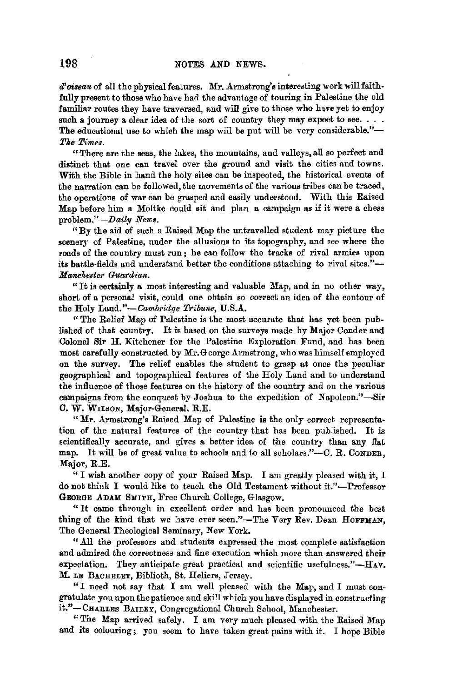*d'oiseau* of all the physical features. Mr. Armstrong's interesting work will faithfully present to those who have had the advantage of touring in Palestine the old familiar routes they have traversed, and will give to those who have yet to enjoy such a journey a clear idea of the sort of country they may expect to see. . . . The educational use to which the map will be put will be very considerable."-*Tke Times.* 

"There are the seas, the fakes, the mountains, and valleys, all so perfect and distinct that one can travel over the ground and visit the cities and towns. With the Bible in hand the holy sites can be inspected, the historical events of the narration can be followed, the movements of the various tribes can be traced, the operations of war can be grasped and easily understood. With this Raised Map before him a Moltke could sit and plan a campaign as if it were a chess problem."-Daily News.

"By the aid of such a Raised Map the untravelled student may picture the scenery of Palestine, under the allusions to its topography, and see where the roads of the country must run; he can follow the tracks of rival armies upon its battle-fields and understand better the conditions attaching to rival sites."-*Manchester Guardian.* 

"It is certainly a most interesting and valuable Map, and in no other way, short of a personal visit, could one obtain so correct an idea of the contour of the Holy *Land."-C'ambridge Tribune,* U.S.A.

"The Relief Map of Palestine is the most accurate that has yet been published of that country. It is based on the surveys made by Major Conder and Colonel Sir H. Kitchener for the Palestine Exploration Fund, and has been most carefully constructed by Mr.George Armstrong, who was himself employed on the survey. The relief enables the student to grasp at once tha peculiar geographical and topographical features of the Holy Land and to understand the influence of those features on the history of the country and on the various campaigns from the conquest by Joshua to the expedition of Napoleon."-Sir C. W. WILSON, Major-General, R.E.

**"Mr.** Armstrong's Raised Map of Palestine is the only correct representation of the natural features of the country that has been published. It is scientifically accurate, and gives a better idea of the country than any flat map. It will be of great value to schools and to all scholars."---C. R. CONDER, Major, R.E.

" I wish another copy of your Raised Map. I am greatly pleased with it, I do not think I would like to teach the Old Testament without it."-Professor GEORGE ADAM SMITH, Free Church College, Glasgow.

"It came through in excellent order and has been pronounced the best thing of the kind that we have ever seen."-The Very Rev. Dean HOFFMAN, The General Theological Seminary, New York.

" All the professors and students expressed the most complete satisfaction and admired the correctness and fine execution which more than answered their expectation. They anticipate great practical and scientific usefulness." $-H_Av$ . M. LE BACHELET, Biblioth, St. Heliers, Jersey.

"I need not say that I am well pleased with the Map, and I must congratulate you upon the patience and skill which you have displayed in constructing it."-CHABLES BAILEY, Congregational Church School, Manchester.

"The Map arrived safely. I am very much pleased with the Raised Map and its colouring; yon seem to have taken great pains with it. I hope Bible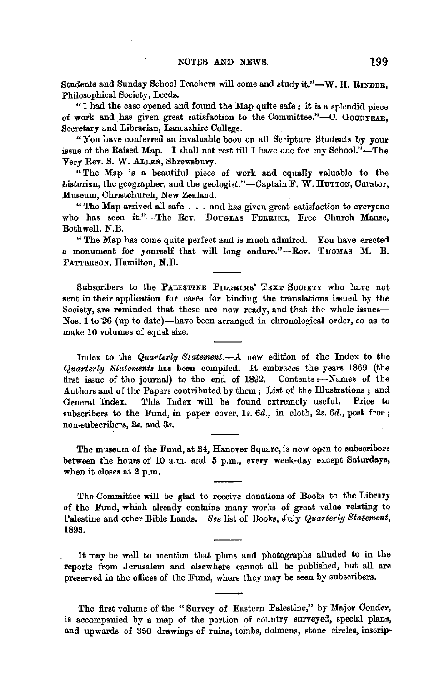Students and Sunday School Teachers will come and study it."-W. H. RINDER. Philosophical Society, Leeds.

" I had the case opened and found the Map quite safe ; it is a splendid piece of work and has given great satisfaction to the Committee." $-$ C. GOODYEAR. Secretary and Librarian, Lancashire College.

"You have conferred an invaluable boon on all Scripture Students by your issue of the Raised Map. I shall not rest till I have one for my School."-The Very Rev. S. W. ALLEN, Shrewsbury.

"The Map is a beautiful piece of work and equally valuable to the historian, the geographer, and the geologist."-Captain F. W. HUTTON, Curator, Museum, Christchurch, New Zealand.

" The Map arrived all safe . . . and has given great satisfaction to everyone who has seen it."-The Rev. DOUGLAS FERRIER, Free Church Manse, Bothwell, N.B.

"The Map has come quite perfect and is much admired. You have erected a monument for yourself that will long endure."--Rev. THOMAS M. B. PATTERSON, Hamilton, **N.B.** 

Subscribers to the PALESTINE PILGRIMS' TEXT SOCIETY who have not sent in their application for cases for binding the translations issued by the Society, are reminded that these are now ready, and that the whole issues-Nos. l to-26 (up to date)-have been arranged in chronological order, so as to make 10 volumes of equal size.

Index to the *Quarterly Statement.-A* new edition of the Index to the *Quarterly Statements* has been compiled. It embraces the years 1869 (the first issue of the journal) to the end of 1892. Contents :- Names of the Authors and of the Papers contributed by them; List of the Illustrations; and<br>General Index. This Index will be found extremely useful. Price to General Index. This Index will be found extremely useful. subscribers to the Fund, in paper cover, 1s. 6d., in cloth, 2s. 6d., post free; non-subscribers, 2s. and 3s.

The museum of the Fund, at 24, Hanover Square, is now open to subscribers between the hours of 10 a.m. and 5 p.m., every week-day except Saturdays, when it closes at 2 p.m.

The Committee will be glad to receive donations of Books to the Library of the Fund, which already contains many works of great value relating to Palestine and other Bible Lands. *See* list of Books, July *Quarterly Statement,*  1893.

It may be well to mention that plans and photographs alluded to in the reports from Jerusalem and elsewhere cannot all be published, but all are preserved in the offices of the Fund, where they may be seen by subscribers.

The first volume of the " Survey of Eastern Palestine," by Major Conder, is accompanied by a map of the portion of country surveyed, special plans, and upwards of 350 drawings of ruins, tombs, dolmens, stone circles, inscrip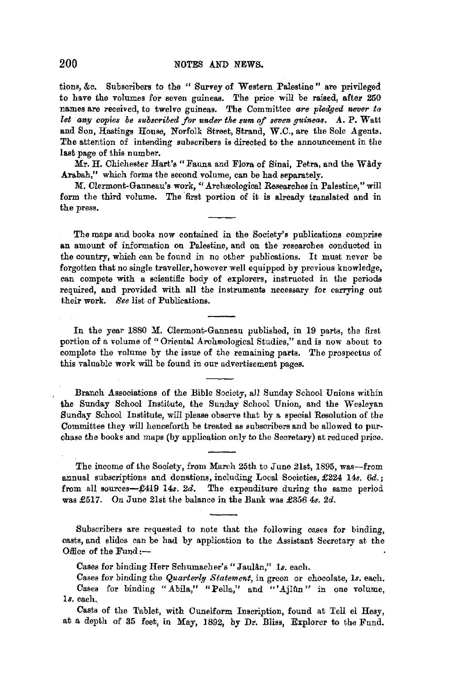tions, &c. Subscribers to the " Survey of Western. Palestine" are privileged to have the volumes for seven guineas. The price will be raised, after 250 names are received, to twelve guineas. The Committee are pledged never to *let any copies be subscribed for under the sum of seven guineas.* A. P. Watt and Son, Hastings House, Norfolk Street, Strand, W.C., are the Sole Agents. The attention of intending subscribers is directed to the announcement in the last page of this number.

Mr. H. Chichester Hart's "Fauna and Flora of Sinai, Petra, and the Wady Arabah." which forms the second volume, can be had separately.

M. Clermont-Ganneau's work, "Archæological Researches in Palestine," will form the third volume. The first portion of it is already translated and in the press.

The maps and books now contained in the Society's publications comprise **an** amount of information on Palestine, and on the researches conducted in the country, which can be found in no other publications. It must never be forgotten that no single traveller,however well equipped by previous knowledge, can compete with a scientific body of explorers, instructed in the periods required, and provided with all the instruments necessary for carrying out their work. *See* list of Publications.

In the year 1880 M. Clermont-Ganneau published, in 19 parts, the first portion of a volume of " Oriental Archæological Studies," and is now about to complete the volume by the issue of the remaining parts. The prospectus of this valuable work will be found in our advertisement pages.

Branch Associations of the Bible Society, all Sunday School Unions within the Sunday School Institute, the Sunday School Union, and the Wesleyan Sunday School Institute, will please observe that by a special Resolution of the Committee they will henceforth be treated as subscribers and be allowed to purchase the books and maps (by application only to the Secretary) at reduced price.

The income of the Society, from March 25th to June 21st, 1895, was-from annual subscriptions and donations, including Local Societies, £224 14s. *6d.;*  from all sources- $\pounds 419$  14s. 2d. The expenditure during the same period was £517. On June 21st the balance in the Bank was £356 4s. *2d.* 

Subscribers are requested to note that the following cases for binding, casts, and slides can be had by application to the Assistant Secretary at the Office of the Fund:-

Cases for binding Herr Schumacher's" JauUn," *ls.* each.

Cases for binding the *Quarterly Statement,* in green or chocolate, *ls.* each. Cases for binding "Abila," "Pella," and "'Ajlûn" in one volume, ls. each.

Casts of the Tablet, with Cuneiform Inscription, found at Tell el Hesy, at a depth of 35 feet, in May, 1892, by Dr. Bliss, Explorer to the Fund.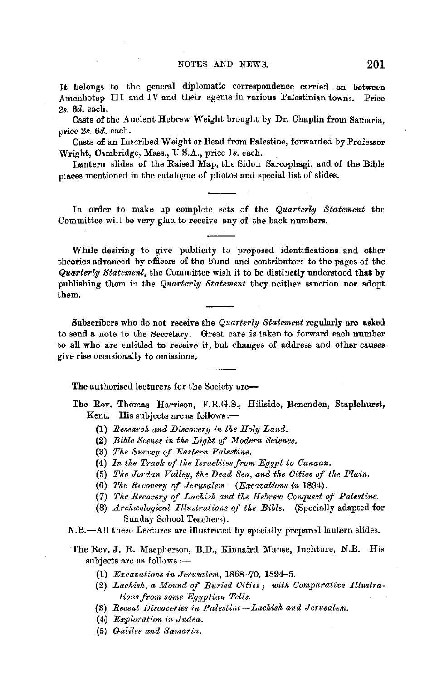It belongs to the general diplomatic correspondence carried on between Amenhotep III and  $\overline{IV}$  and their agents in various Palestinian towns. Price *2s. 6d.* each.

Casts of the Ancient Hebrew Weight brought by Dr. Chaplin from Samaria, price *2s. 6d.* each.

Casts of an Inscribed Weight or Bead from Palestine, forwarded by Professor Wright, Cambridge, Mass., U.S.A., price ls. each.

Lantern slides of the Raised Map, the Sidon Sarcophagi, and of the Bible places mentioned in the catalogue of photos and special list of slides.

In order to make up complete sets of the *Quarterly Statement* the Committee will be very glad to receive any of the back numbers.

While desiring to give publicity to proposed identifications and other theories advanced by officers of the Fund and contributors to the pages of the *Quarterly Statement,* tbe Committee wish it to be distinctly understood that by publishing them in the *Quarterly Statement* they neither sanction nor adopt them.

Subscribers who do not receive the *Quarterly Statement* regularly are asked to send a note to the Secretary. Great care is taken to forward each number to all who are entitled to receive it, but changes of address and other causes give rise occasionally to omissions.

The authorised lecturers for the Society are-

The **Rev,** Thomas Harrison, F.R.G.S., Hillside, Benenden, Staplehurst, Kent. His subjects are as follows: $-$ 

- **(1)** *Research and Discovery in the Holy Land.*
- **(2)** *Bible Scenes in the Light of Modern Science.*
- **(3)** *The Survey of Eastern Palestine.*
- (4) In the Track of the Israelites from Egypt to Canaan.
- (5) The Jordan Valley, the Dead Sea, and the Cities of the Plain.
- (6) *The Recovery of Jerusalem-(Excavations in* 1894).
- **(7)** *The Recovery* of *Lachish and the Hebrew Conquest* of *Palestine.*
- (8) *Archa,ological Illustrations* of *the Bible.* (Specially adapted for Sunday School Teachers).
- N.B.-All these Lectures are illustrated by specially prepared lantern slides.
- The Rev. J. R. Macpherson, B.D., Kinnaird Manse, Inchture, N.B. His subjects are as follows:-
	- (1) *Excavations in Jerusalem*, 1868-70, 1894-5.
	- (2) *Lachish, a Mound of Buried Cities; with Comparative Illustrations f.-om some Egyptian Tells.*
	- (3) *Recent Discoveries in Palestine-Lachish and Jerusalem.*
	- (4) *Exploration in Judea.*
	- (5) *Galilee and Samaria.*